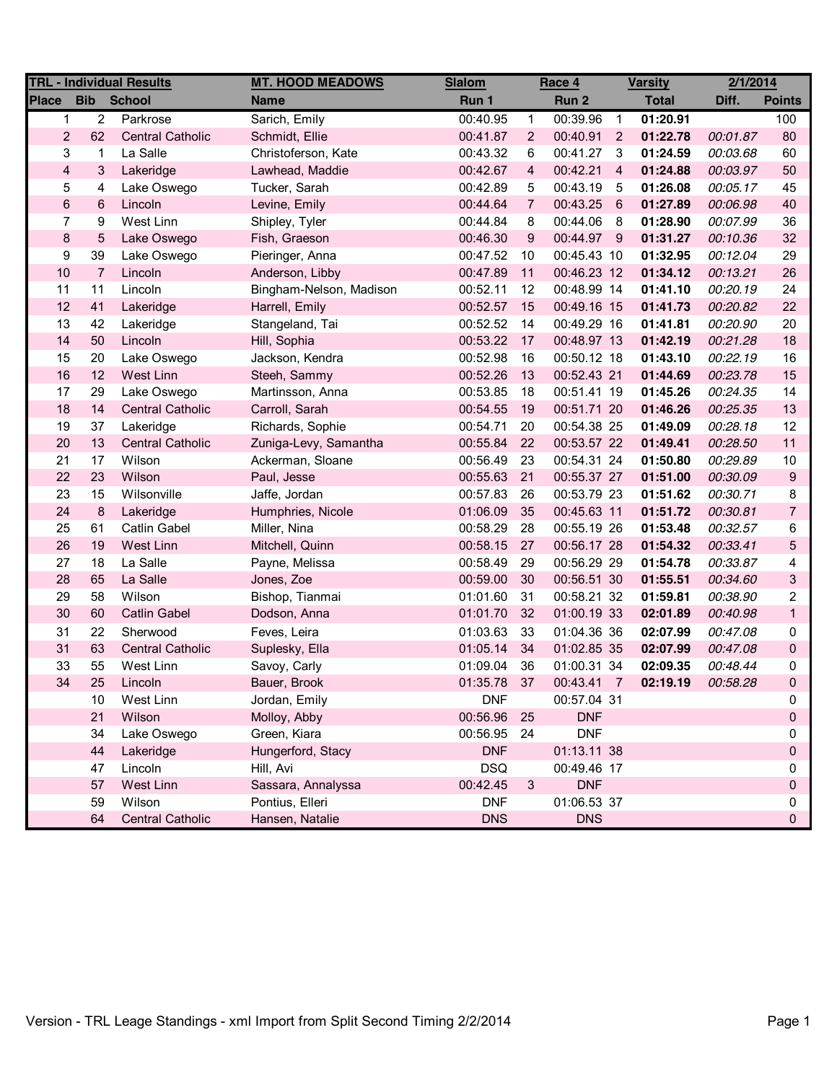| <b>TRL - Individual Results</b> |                |                         | <b>MT. HOOD MEADOWS</b> | <b>Slalom</b> | Race 4         |             | <b>Varsity</b> |              | 2/1/2014 |                |
|---------------------------------|----------------|-------------------------|-------------------------|---------------|----------------|-------------|----------------|--------------|----------|----------------|
| <b>Place</b>                    | <b>Bib</b>     | <b>School</b>           | <b>Name</b>             | Run 1         |                | Run 2       |                | <b>Total</b> | Diff.    | <b>Points</b>  |
| $\mathbf 1$                     | $\overline{2}$ | Parkrose                | Sarich, Emily           | 00:40.95      | $\mathbf{1}$   | 00:39.96    | $\overline{1}$ | 01:20.91     |          | 100            |
| $\overline{2}$                  | 62             | <b>Central Catholic</b> | Schmidt, Ellie          | 00:41.87      | 2              | 00:40.91    | $\overline{2}$ | 01:22.78     | 00:01.87 | 80             |
| 3                               | 1              | La Salle                | Christoferson, Kate     | 00:43.32      | 6              | 00:41.27    | $\mathbf{3}$   | 01:24.59     | 00:03.68 | 60             |
| $\overline{\mathbf{4}}$         | 3              | Lakeridge               | Lawhead, Maddie         | 00:42.67      | 4              | 00:42.21    | $\overline{4}$ | 01:24.88     | 00:03.97 | 50             |
| 5                               | 4              | Lake Oswego             | Tucker, Sarah           | 00:42.89      | 5              | 00:43.19    | -5             | 01:26.08     | 00:05.17 | 45             |
| $\,6$                           | 6              | Lincoln                 | Levine, Emily           | 00:44.64      | $\overline{7}$ | 00:43.25    | 6              | 01:27.89     | 00:06.98 | 40             |
| $\overline{7}$                  | 9              | West Linn               | Shipley, Tyler          | 00:44.84      | 8              | 00:44.06    | 8              | 01:28.90     | 00:07.99 | 36             |
| $\bf 8$                         | 5              | Lake Oswego             | Fish, Graeson           | 00:46.30      | 9              | 00:44.97 9  |                | 01:31.27     | 00:10.36 | 32             |
| 9                               | 39             | Lake Oswego             | Pieringer, Anna         | 00:47.52      | 10             | 00:45.43 10 |                | 01:32.95     | 00:12.04 | 29             |
| 10                              | $\overline{7}$ | Lincoln                 | Anderson, Libby         | 00:47.89      | 11             | 00:46.23 12 |                | 01:34.12     | 00:13.21 | 26             |
| 11                              | 11             | Lincoln                 | Bingham-Nelson, Madison | 00:52.11      | 12             | 00:48.99 14 |                | 01:41.10     | 00:20.19 | 24             |
| 12                              | 41             | Lakeridge               | Harrell, Emily          | 00:52.57      | 15             | 00:49.16 15 |                | 01:41.73     | 00:20.82 | 22             |
| 13                              | 42             | Lakeridge               | Stangeland, Tai         | 00:52.52      | 14             | 00:49.29 16 |                | 01:41.81     | 00:20.90 | 20             |
| 14                              | 50             | Lincoln                 | Hill, Sophia            | 00:53.22      | 17             | 00:48.97 13 |                | 01:42.19     | 00:21.28 | 18             |
| 15                              | 20             | Lake Oswego             | Jackson, Kendra         | 00:52.98      | 16             | 00:50.12 18 |                | 01:43.10     | 00:22.19 | 16             |
| 16                              | 12             | West Linn               | Steeh, Sammy            | 00:52.26      | 13             | 00:52.43 21 |                | 01:44.69     | 00:23.78 | 15             |
| 17                              | 29             | Lake Oswego             | Martinsson, Anna        | 00:53.85      | 18             | 00:51.41 19 |                | 01:45.26     | 00:24.35 | 14             |
| 18                              | 14             | <b>Central Catholic</b> | Carroll, Sarah          | 00:54.55      | 19             | 00:51.71 20 |                | 01:46.26     | 00:25.35 | 13             |
| 19                              | 37             | Lakeridge               | Richards, Sophie        | 00:54.71      | 20             | 00:54.38 25 |                | 01:49.09     | 00:28.18 | 12             |
| 20                              | 13             | <b>Central Catholic</b> | Zuniga-Levy, Samantha   | 00:55.84      | 22             | 00:53.57 22 |                | 01:49.41     | 00:28.50 | 11             |
| 21                              | 17             | Wilson                  | Ackerman, Sloane        | 00:56.49      | 23             | 00:54.31 24 |                | 01:50.80     | 00:29.89 | 10             |
| 22                              | 23             | Wilson                  | Paul, Jesse             | 00:55.63      | 21             | 00:55.37 27 |                | 01:51.00     | 00:30.09 | 9              |
| 23                              | 15             | Wilsonville             | Jaffe, Jordan           | 00:57.83      | 26             | 00:53.79 23 |                | 01:51.62     | 00:30.71 | 8              |
| 24                              | 8              | Lakeridge               | Humphries, Nicole       | 01:06.09      | 35             | 00:45.63 11 |                | 01:51.72     | 00:30.81 | $\overline{7}$ |
| 25                              | 61             | <b>Catlin Gabel</b>     | Miller, Nina            | 00:58.29      | 28             | 00:55.19 26 |                | 01:53.48     | 00:32.57 | 6              |
| 26                              | 19             | West Linn               | Mitchell, Quinn         | 00:58.15      | 27             | 00:56.17 28 |                | 01:54.32     | 00:33.41 | 5              |
| 27                              | 18             | La Salle                | Payne, Melissa          | 00:58.49      | 29             | 00:56.29 29 |                | 01:54.78     | 00:33.87 | 4              |
| 28                              | 65             | La Salle                | Jones, Zoe              | 00:59.00      | 30             | 00:56.51 30 |                | 01:55.51     | 00:34.60 | 3              |
| 29                              | 58             | Wilson                  | Bishop, Tianmai         | 01:01.60      | 31             | 00:58.21 32 |                | 01:59.81     | 00:38.90 | 2              |
| 30                              | 60             | <b>Catlin Gabel</b>     | Dodson, Anna            | 01:01.70      | 32             | 01:00.19 33 |                | 02:01.89     | 00:40.98 | $\mathbf{1}$   |
| 31                              | 22             | Sherwood                | Feves, Leira            | 01:03.63      | 33             | 01:04.36 36 |                | 02:07.99     | 00:47.08 | 0              |
| 31                              | 63             | <b>Central Catholic</b> | Suplesky, Ella          | 01:05.14      | 34             | 01:02.85 35 |                | 02:07.99     | 00:47.08 | 0              |
| 33                              | 55             | West Linn               | Savoy, Carly            | 01:09.04      | 36             | 01:00.31 34 |                | 02:09.35     | 00:48.44 | 0              |
| 34                              | 25             | Lincoln                 | Bauer, Brook            | 01:35.78      | 37             | 00:43.41 7  |                | 02:19.19     | 00:58.28 | 0              |
|                                 | 10             | West Linn               | Jordan, Emily           | <b>DNF</b>    |                | 00:57.04 31 |                |              |          | 0              |
|                                 | 21             | Wilson                  | Molloy, Abby            | 00:56.96      | 25             | <b>DNF</b>  |                |              |          | 0              |
|                                 | 34             | Lake Oswego             | Green, Kiara            | 00:56.95      | 24             | <b>DNF</b>  |                |              |          | 0              |
|                                 | 44             | Lakeridge               | Hungerford, Stacy       | <b>DNF</b>    |                | 01:13.11 38 |                |              |          | 0              |
|                                 | 47             | Lincoln                 | Hill, Avi               | <b>DSQ</b>    |                | 00:49.46 17 |                |              |          | 0              |
|                                 | 57             | West Linn               | Sassara, Annalyssa      | 00:42.45      | 3              | <b>DNF</b>  |                |              |          | 0              |
|                                 | 59             | Wilson                  | Pontius, Elleri         | <b>DNF</b>    |                | 01:06.53 37 |                |              |          | 0              |
|                                 | 64             | <b>Central Catholic</b> | Hansen, Natalie         | <b>DNS</b>    |                | <b>DNS</b>  |                |              |          | $\mathbf 0$    |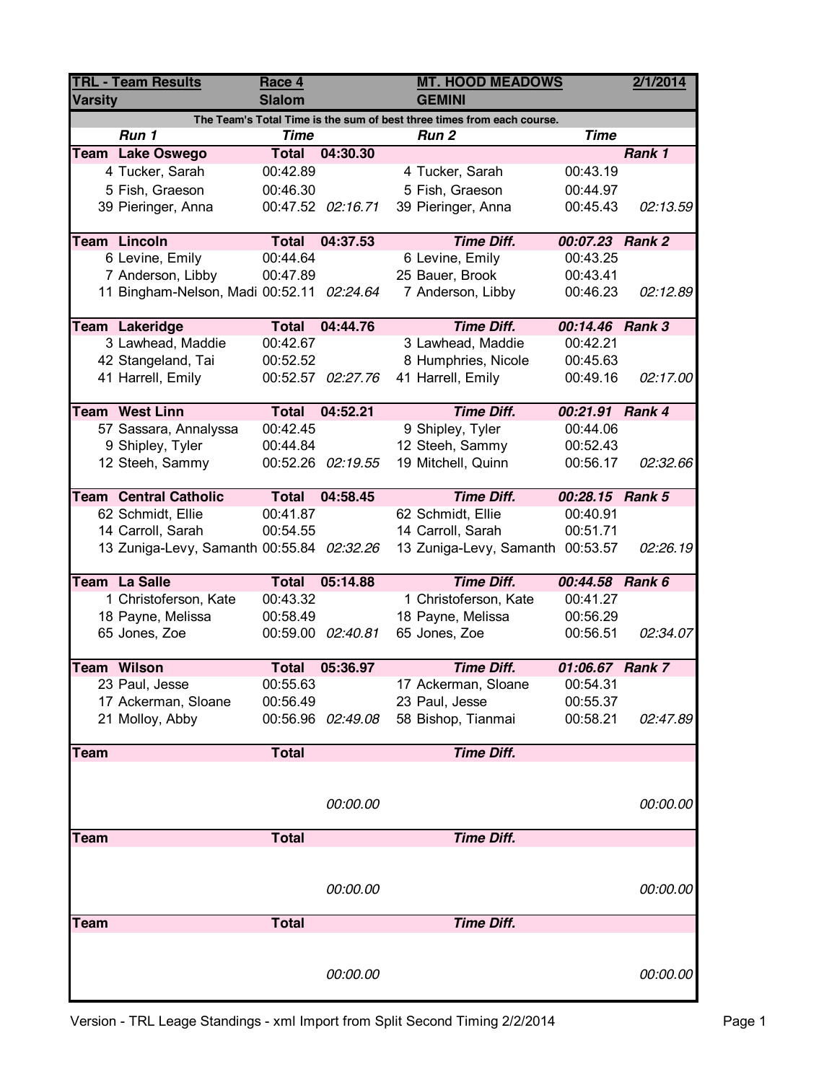| <b>TRL - Team Results</b><br><b>Varsity</b>                            |                                           | Race 4<br><b>Slalom</b> |                   | <b>GEMINI</b>                    | <b>MT. HOOD MEADOWS</b> |          |  |  |  |  |
|------------------------------------------------------------------------|-------------------------------------------|-------------------------|-------------------|----------------------------------|-------------------------|----------|--|--|--|--|
| The Team's Total Time is the sum of best three times from each course. |                                           |                         |                   |                                  |                         |          |  |  |  |  |
|                                                                        | Run 1                                     | <b>Time</b>             |                   | Run <sub>2</sub>                 | <b>Time</b>             |          |  |  |  |  |
|                                                                        | Team Lake Oswego                          | <b>Total</b>            | 04:30.30          |                                  |                         | Rank 1   |  |  |  |  |
|                                                                        | 4 Tucker, Sarah                           | 00:42.89                |                   | 4 Tucker, Sarah                  | 00:43.19                |          |  |  |  |  |
|                                                                        | 5 Fish, Graeson                           | 00:46.30                |                   | 5 Fish, Graeson                  | 00:44.97                |          |  |  |  |  |
|                                                                        | 39 Pieringer, Anna                        |                         | 00:47.52 02:16.71 | 39 Pieringer, Anna               | 00:45.43                | 02:13.59 |  |  |  |  |
|                                                                        | <b>Team Lincoln</b>                       | <b>Total</b>            | 04:37.53          | <b>Time Diff.</b>                | 00:07.23 Rank 2         |          |  |  |  |  |
|                                                                        | 6 Levine, Emily                           | 00:44.64                |                   | 6 Levine, Emily                  | 00:43.25                |          |  |  |  |  |
|                                                                        | 7 Anderson, Libby                         | 00:47.89                |                   | 25 Bauer, Brook                  | 00:43.41                |          |  |  |  |  |
|                                                                        | 11 Bingham-Nelson, Madi 00:52.11          |                         | 02:24.64          | 7 Anderson, Libby                | 00:46.23                | 02:12.89 |  |  |  |  |
|                                                                        | Team Lakeridge                            | <b>Total</b>            | 04:44.76          | <b>Time Diff.</b>                | 00:14.46 Rank 3         |          |  |  |  |  |
|                                                                        | 3 Lawhead, Maddie                         | 00:42.67                |                   | 3 Lawhead, Maddie                | 00:42.21                |          |  |  |  |  |
|                                                                        | 42 Stangeland, Tai                        | 00:52.52                |                   | 8 Humphries, Nicole              | 00:45.63                |          |  |  |  |  |
|                                                                        | 41 Harrell, Emily                         |                         | 00:52.57 02:27.76 | 41 Harrell, Emily                | 00:49.16                | 02:17.00 |  |  |  |  |
|                                                                        |                                           |                         |                   |                                  |                         |          |  |  |  |  |
|                                                                        | <b>Team West Linn</b>                     | <b>Total</b>            | 04:52.21          | <b>Time Diff.</b>                | 00:21.91 Rank 4         |          |  |  |  |  |
|                                                                        | 57 Sassara, Annalyssa                     | 00:42.45                |                   | 9 Shipley, Tyler                 | 00:44.06                |          |  |  |  |  |
|                                                                        | 9 Shipley, Tyler                          | 00:44.84                |                   | 12 Steeh, Sammy                  | 00:52.43                |          |  |  |  |  |
|                                                                        | 12 Steeh, Sammy                           |                         | 00:52.26 02:19.55 | 19 Mitchell, Quinn               | 00:56.17                | 02:32.66 |  |  |  |  |
|                                                                        |                                           |                         |                   |                                  |                         |          |  |  |  |  |
|                                                                        | <b>Team Central Catholic</b>              | <b>Total</b>            | 04:58.45          | <b>Time Diff.</b>                | 00:28.15 Rank 5         |          |  |  |  |  |
|                                                                        | 62 Schmidt, Ellie                         | 00:41.87                |                   | 62 Schmidt, Ellie                | 00:40.91                |          |  |  |  |  |
|                                                                        | 14 Carroll, Sarah                         | 00:54.55                |                   | 14 Carroll, Sarah                | 00:51.71                |          |  |  |  |  |
|                                                                        | 13 Zuniga-Levy, Samanth 00:55.84 02:32.26 |                         |                   | 13 Zuniga-Levy, Samanth 00:53.57 |                         | 02:26.19 |  |  |  |  |
|                                                                        | Team La Salle                             | Total                   | 05:14.88          | <b>Time Diff.</b>                | 00:44.58 Rank 6         |          |  |  |  |  |
|                                                                        | 1 Christoferson, Kate                     | 00:43.32                |                   | 1 Christoferson, Kate            | 00:41.27                |          |  |  |  |  |
|                                                                        | 18 Payne, Melissa                         | 00:58.49                |                   | 18 Payne, Melissa                | 00:56.29                |          |  |  |  |  |
|                                                                        | 65 Jones, Zoe                             |                         | 00:59.00 02:40.81 | 65 Jones, Zoe                    | 00:56.51                | 02:34.07 |  |  |  |  |
|                                                                        |                                           |                         |                   |                                  |                         |          |  |  |  |  |
|                                                                        | <b>Team Wilson</b>                        | <b>Total</b>            | 05:36.97          | <b>Time Diff.</b>                | 01:06.67 Rank 7         |          |  |  |  |  |
|                                                                        | 23 Paul, Jesse                            | 00:55.63                |                   | 17 Ackerman, Sloane              | 00:54.31                |          |  |  |  |  |
|                                                                        | 17 Ackerman, Sloane                       | 00:56.49                |                   | 23 Paul, Jesse                   | 00:55.37                |          |  |  |  |  |
|                                                                        | 21 Molloy, Abby                           |                         | 00:56.96 02:49.08 | 58 Bishop, Tianmai               | 00:58.21                | 02:47.89 |  |  |  |  |
| Team                                                                   |                                           | <b>Total</b>            |                   | <b>Time Diff.</b>                |                         |          |  |  |  |  |
|                                                                        |                                           |                         |                   |                                  |                         |          |  |  |  |  |
|                                                                        |                                           |                         |                   |                                  |                         |          |  |  |  |  |
|                                                                        |                                           |                         | 00:00.00          |                                  |                         | 00:00.00 |  |  |  |  |
|                                                                        |                                           |                         |                   |                                  |                         |          |  |  |  |  |
| <b>Team</b>                                                            |                                           | <b>Total</b>            |                   | <b>Time Diff.</b>                |                         |          |  |  |  |  |
|                                                                        |                                           |                         |                   |                                  |                         |          |  |  |  |  |
|                                                                        |                                           |                         |                   |                                  |                         |          |  |  |  |  |
|                                                                        |                                           |                         | 00:00.00          |                                  |                         | 00:00.00 |  |  |  |  |
|                                                                        |                                           |                         |                   | <b>Time Diff.</b>                |                         |          |  |  |  |  |
| <b>Team</b>                                                            |                                           | <b>Total</b>            |                   |                                  |                         |          |  |  |  |  |
|                                                                        |                                           |                         |                   |                                  |                         |          |  |  |  |  |
|                                                                        |                                           |                         |                   |                                  |                         |          |  |  |  |  |
|                                                                        |                                           |                         | 00:00.00          |                                  |                         | 00:00.00 |  |  |  |  |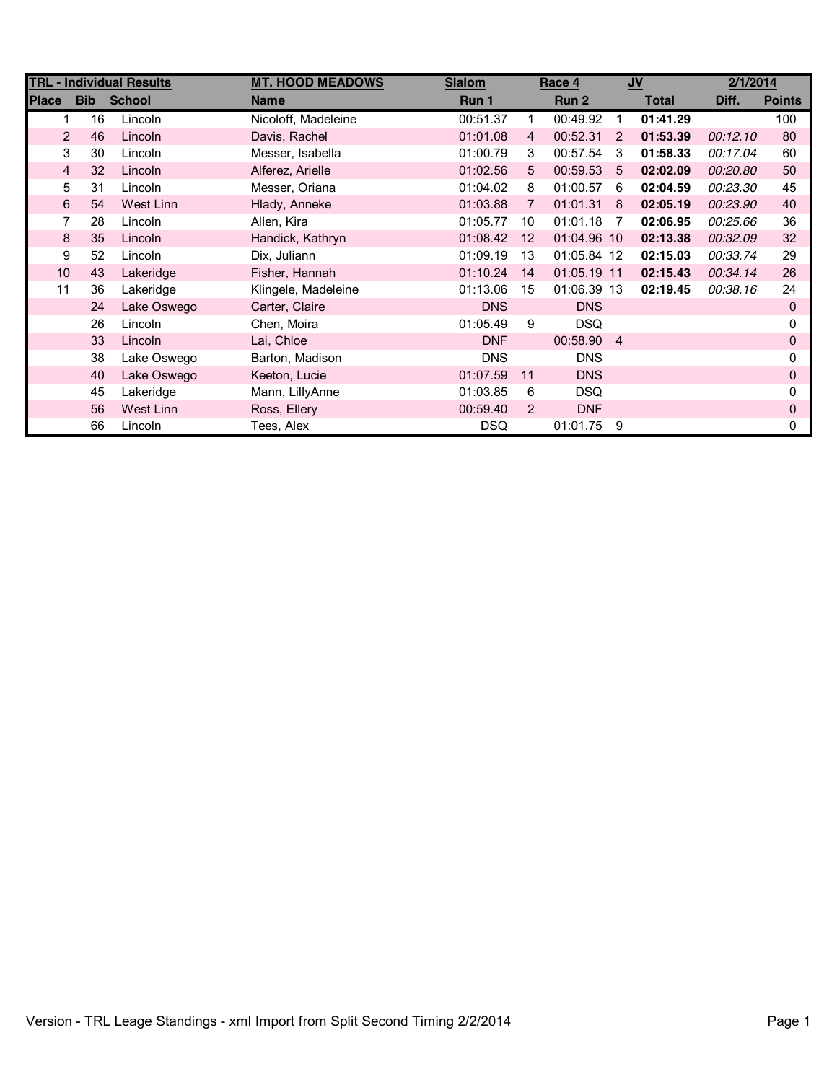| <b>TRL - Individual Results</b> |            |               | <b>MT. HOOD MEADOWS</b> | <b>Slalom</b> | Race 4         |             |    | $u$          | 2/1/2014 |               |
|---------------------------------|------------|---------------|-------------------------|---------------|----------------|-------------|----|--------------|----------|---------------|
| <b>Place</b>                    | <b>Bib</b> | <b>School</b> | <b>Name</b>             | Run 1         |                | Run 2       |    | <b>Total</b> | Diff.    | <b>Points</b> |
| 1.                              | 16         | Lincoln       | Nicoloff, Madeleine     | 00:51.37      | 1              | 00:49.92    | 1  | 01:41.29     |          | 100           |
| $\overline{2}$                  | 46         | Lincoln       | Davis, Rachel           | 01:01.08      | $\overline{4}$ | 00:52.31    | 2  | 01:53.39     | 00:12.10 | 80            |
| 3                               | 30         | Lincoln       | Messer, Isabella        | 01:00.79      | 3              | 00:57.54    | 3  | 01:58.33     | 00:17.04 | 60            |
| $\overline{4}$                  | 32         | Lincoln       | Alferez, Arielle        | 01:02.56      | 5              | 00:59.53    | -5 | 02:02.09     | 00:20.80 | 50            |
| 5                               | 31         | Lincoln       | Messer, Oriana          | 01:04.02      | 8              | 01:00.57    | 6  | 02:04.59     | 00:23.30 | 45            |
| 6                               | 54         | West Linn     | Hlady, Anneke           | 01:03.88      | $\overline{7}$ | 01:01.31    | 8  | 02:05.19     | 00:23.90 | 40            |
| 7                               | 28         | Lincoln       | Allen, Kira             | 01:05.77      | 10             | 01:01.18    | -7 | 02:06.95     | 00:25.66 | 36            |
| 8                               | 35         | Lincoln       | Handick, Kathryn        | 01:08.42      | 12             | 01:04.96 10 |    | 02:13.38     | 00:32.09 | 32            |
| 9                               | 52         | Lincoln       | Dix, Juliann            | 01:09.19      | 13             | 01:05.84 12 |    | 02:15.03     | 00:33.74 | 29            |
| 10                              | 43         | Lakeridge     | Fisher, Hannah          | 01:10.24      | 14             | 01:05.19 11 |    | 02:15.43     | 00:34.14 | 26            |
| 11                              | 36         | Lakeridge     | Klingele, Madeleine     | 01:13.06      | 15             | 01:06.39 13 |    | 02:19.45     | 00:38.16 | 24            |
|                                 | 24         | Lake Oswego   | Carter, Claire          | <b>DNS</b>    |                | <b>DNS</b>  |    |              |          | 0             |
|                                 | 26         | Lincoln       | Chen, Moira             | 01:05.49      | 9              | <b>DSQ</b>  |    |              |          | <sup>0</sup>  |
|                                 | 33         | Lincoln       | Lai, Chloe              | <b>DNF</b>    |                | 00:58.90 4  |    |              |          | 0             |
|                                 | 38         | Lake Oswego   | Barton, Madison         | <b>DNS</b>    |                | <b>DNS</b>  |    |              |          | 0             |
|                                 | 40         | Lake Oswego   | Keeton, Lucie           | 01:07.59      | 11             | <b>DNS</b>  |    |              |          | 0             |
|                                 | 45         | Lakeridge     | Mann, LillyAnne         | 01:03.85      | 6              | <b>DSQ</b>  |    |              |          |               |
|                                 | 56         | West Linn     | Ross, Ellery            | 00:59.40      | 2              | <b>DNF</b>  |    |              |          | 0             |
|                                 | 66         | Lincoln       | Tees, Alex              | <b>DSQ</b>    |                | 01:01.75    | -9 |              |          | 0             |